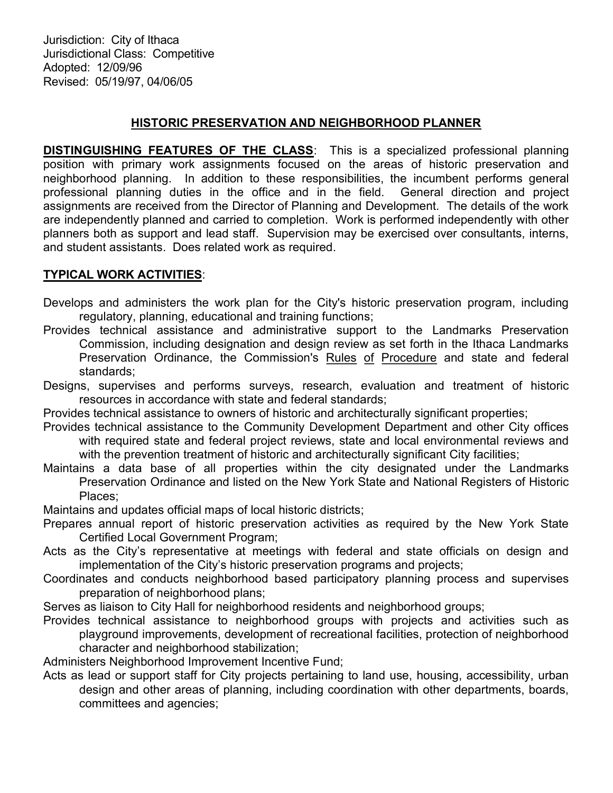Jurisdiction: City of Ithaca Jurisdictional Class: Competitive Adopted: 12/09/96 Revised: 05/19/97, 04/06/05

## HISTORIC PRESERVATION AND NEIGHBORHOOD PLANNER

DISTINGUISHING FEATURES OF THE CLASS: This is a specialized professional planning position with primary work assignments focused on the areas of historic preservation and neighborhood planning. In addition to these responsibilities, the incumbent performs general professional planning duties in the office and in the field. General direction and project assignments are received from the Director of Planning and Development. The details of the work are independently planned and carried to completion. Work is performed independently with other planners both as support and lead staff. Supervision may be exercised over consultants, interns, and student assistants. Does related work as required.

# TYPICAL WORK ACTIVITIES:

- Develops and administers the work plan for the City's historic preservation program, including regulatory, planning, educational and training functions;
- Provides technical assistance and administrative support to the Landmarks Preservation Commission, including designation and design review as set forth in the Ithaca Landmarks Preservation Ordinance, the Commission's Rules of Procedure and state and federal standards;
- Designs, supervises and performs surveys, research, evaluation and treatment of historic resources in accordance with state and federal standards;
- Provides technical assistance to owners of historic and architecturally significant properties;
- Provides technical assistance to the Community Development Department and other City offices with required state and federal project reviews, state and local environmental reviews and with the prevention treatment of historic and architecturally significant City facilities;
- Maintains a data base of all properties within the city designated under the Landmarks Preservation Ordinance and listed on the New York State and National Registers of Historic Places;
- Maintains and updates official maps of local historic districts;
- Prepares annual report of historic preservation activities as required by the New York State Certified Local Government Program;
- Acts as the City's representative at meetings with federal and state officials on design and implementation of the City's historic preservation programs and projects;
- Coordinates and conducts neighborhood based participatory planning process and supervises preparation of neighborhood plans;
- Serves as liaison to City Hall for neighborhood residents and neighborhood groups;
- Provides technical assistance to neighborhood groups with projects and activities such as playground improvements, development of recreational facilities, protection of neighborhood character and neighborhood stabilization;

Administers Neighborhood Improvement Incentive Fund;

Acts as lead or support staff for City projects pertaining to land use, housing, accessibility, urban design and other areas of planning, including coordination with other departments, boards, committees and agencies;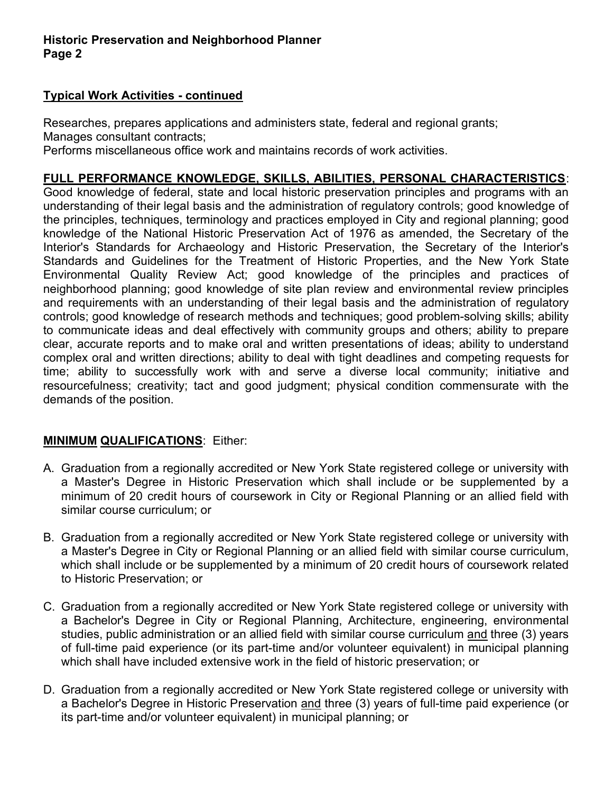# Typical Work Activities - continued

Researches, prepares applications and administers state, federal and regional grants; Manages consultant contracts;

Performs miscellaneous office work and maintains records of work activities.

# FULL PERFORMANCE KNOWLEDGE, SKILLS, ABILITIES, PERSONAL CHARACTERISTICS:

Good knowledge of federal, state and local historic preservation principles and programs with an understanding of their legal basis and the administration of regulatory controls; good knowledge of the principles, techniques, terminology and practices employed in City and regional planning; good knowledge of the National Historic Preservation Act of 1976 as amended, the Secretary of the Interior's Standards for Archaeology and Historic Preservation, the Secretary of the Interior's Standards and Guidelines for the Treatment of Historic Properties, and the New York State Environmental Quality Review Act; good knowledge of the principles and practices of neighborhood planning; good knowledge of site plan review and environmental review principles and requirements with an understanding of their legal basis and the administration of regulatory controls; good knowledge of research methods and techniques; good problem-solving skills; ability to communicate ideas and deal effectively with community groups and others; ability to prepare clear, accurate reports and to make oral and written presentations of ideas; ability to understand complex oral and written directions; ability to deal with tight deadlines and competing requests for time; ability to successfully work with and serve a diverse local community; initiative and resourcefulness; creativity; tact and good judgment; physical condition commensurate with the demands of the position.

## MINIMUM QUALIFICATIONS: Either:

- A. Graduation from a regionally accredited or New York State registered college or university with a Master's Degree in Historic Preservation which shall include or be supplemented by a minimum of 20 credit hours of coursework in City or Regional Planning or an allied field with similar course curriculum; or
- B. Graduation from a regionally accredited or New York State registered college or university with a Master's Degree in City or Regional Planning or an allied field with similar course curriculum, which shall include or be supplemented by a minimum of 20 credit hours of coursework related to Historic Preservation; or
- C. Graduation from a regionally accredited or New York State registered college or university with a Bachelor's Degree in City or Regional Planning, Architecture, engineering, environmental studies, public administration or an allied field with similar course curriculum and three (3) years of full-time paid experience (or its part-time and/or volunteer equivalent) in municipal planning which shall have included extensive work in the field of historic preservation; or
- D. Graduation from a regionally accredited or New York State registered college or university with a Bachelor's Degree in Historic Preservation and three (3) years of full-time paid experience (or its part-time and/or volunteer equivalent) in municipal planning; or